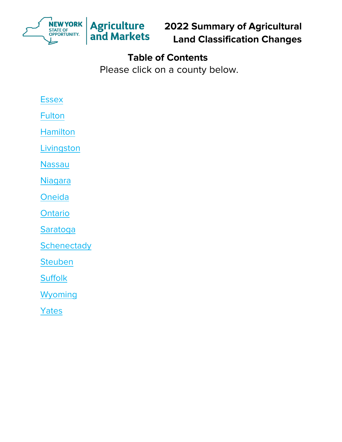

**2022 Summary of Agricultural Land Classification Changes**

# **Table of Contents**

Please click on a county below.

# **Essex**

**[Fulton](#page-2-0)** 

[Hamilton](#page-3-0)

**Livingston** 

[Nassau](#page-5-0) 

**Niagara** 

**Oneida** 

**Ontario** 

[Saratoga](#page-9-0) 

**[Schenectady](#page-10-0)** 

**[Steuben](#page-11-0)** 

**Suffolk** 

**Wyoming** 

[Yates](#page-14-0)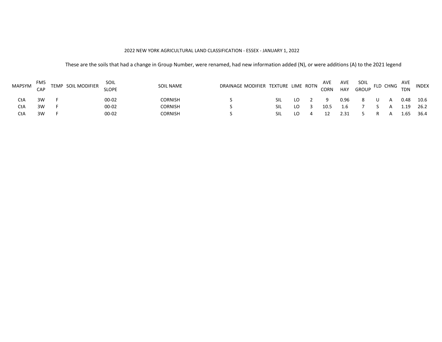#### 2022 NEW YORK AGRICULTURAL LAND CLASSIFICATION - ESSEX - JANUARY 1, 2022

<span id="page-1-0"></span>

| <b>MAPSYM</b> | FM5<br>CAP | TEMP SOIL MODIFIER | SOIL<br><b>SLOPE</b> | SOIL NAME | DRAINAGE MODIFIER TEXTURE LIME ROTN |      |  | AVE<br>CORN | AVE<br>HAY | SOIL<br><b>GROUP</b> | FLD CHNG | AVE<br><b>TDN</b> | <b>INDEX</b> |
|---------------|------------|--------------------|----------------------|-----------|-------------------------------------|------|--|-------------|------------|----------------------|----------|-------------------|--------------|
| CtA           | ЗW         |                    | 00-02                | CORNISH   |                                     | SII. |  | a           | 0.96       |                      |          | 0.48              | 10.6         |
| CtA           | ЗW         |                    | 00-02                | CORNISH   |                                     | SII. |  | 10.5        | 1.6        |                      |          | 1.19              | 26.2         |
|               | 3W         |                    | 00-02                | CORNISH   |                                     | SIL  |  |             | 2.31       |                      |          | 65                | 36.4         |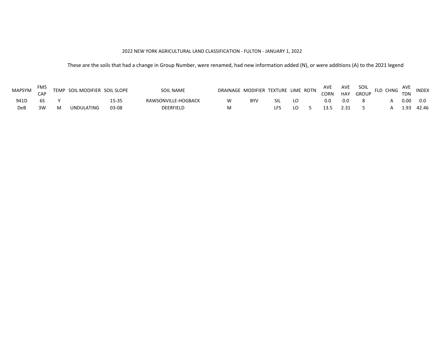#### 2022 NEW YORK AGRICULTURAL LAND CLASSIFICATION - FULTON - JANUARY 1, 2022

<span id="page-2-0"></span>

| MAPSYM | FM <sub>5</sub> |   | TEMP SOIL MODIFIER SOIL SLOPE |       | SOIL NAME           | DRAINAGE MODIFIER TEXTURE LIME ROTN |    |            | AVE  | AVE    | SOIL  | FLD CHNG | <b>AVE</b> | <b>INDEX</b> |
|--------|-----------------|---|-------------------------------|-------|---------------------|-------------------------------------|----|------------|------|--------|-------|----------|------------|--------------|
|        | $^{\circ}$ AD   |   |                               |       |                     |                                     |    |            | CORN | HAY GP | GROUP |          | <b>TDN</b> |              |
| 941D   |                 |   |                               | L5-35 | RAWSONVILLE-HOGBACK |                                     | B٧ | <b>SIL</b> | 0.0  | 0.0    |       |          | 0.00       | 0.0          |
| DeP    | 3W              | M | UNDULATING                    | 03-08 | <b>DEERFIELD</b>    |                                     |    |            |      | 2.31   |       |          | 1 คว       | 42.46        |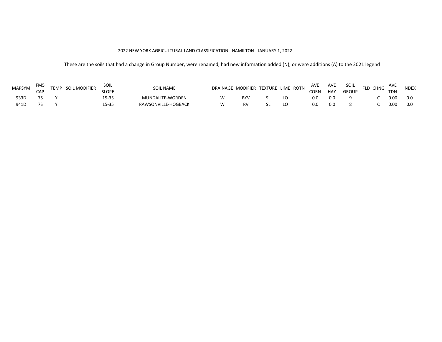#### 2022 NEW YORK AGRICULTURAL LAND CLASSIFICATION - HAMILTON - JANUARY 1, 2022

<span id="page-3-0"></span>

| <b>MAPSYM</b> | FM5<br>CAP | TEMP SOIL MODIFIER | SOIL<br><b>SLOPE</b> | <b>SOIL NAME</b>    |            | DRAINAGE MODIFIER TEXTURE LIME ROTN | AVE<br>CORN | AVE<br>HAY | SOIL<br><b>GROUP</b> | FLD CHNG | AVE<br><b>TDN</b> | <b>INDEX</b> |
|---------------|------------|--------------------|----------------------|---------------------|------------|-------------------------------------|-------------|------------|----------------------|----------|-------------------|--------------|
| 933D          |            |                    | 5-35ء                | MUNDALITE-WORDEN    | <b>BYV</b> |                                     | 0.0         | 0.0        |                      |          | 0.00              | 0.0          |
| 941D          |            |                    | $5 - 35$             | RAWSONVILLE-HOGBACK |            |                                     |             | 0.0        |                      |          | 0.00              | 0.0          |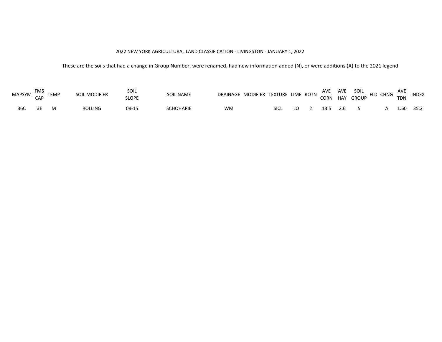#### 2022 NEW YORK AGRICULTURAL LAND CLASSIFICATION - LIVINGSTON - JANUARY 1, 2022

<span id="page-4-0"></span>

| MAPSYM FIVIS TEMP | FM5 |     | SOIL MODIFIER  | Soil<br><b>SLOPE</b> | <b>SOIL NAME</b> | DRAINAGE MODIFIER TEXTURE LIME ROTN AVE AVE SOIL FLD CHNG AVE INDEX |      |    |  |            |             |  |
|-------------------|-----|-----|----------------|----------------------|------------------|---------------------------------------------------------------------|------|----|--|------------|-------------|--|
| 36C               | -RF | - M | <b>ROLLING</b> | 08-15                | <b>CHOHARIE</b>  | WM                                                                  | SICL | LO |  | 13.5 2.6 5 | A 1.60 35.2 |  |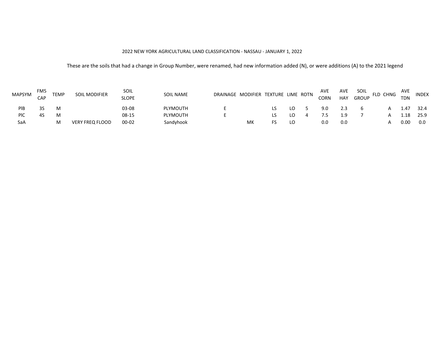#### 2022 NEW YORK AGRICULTURAL LAND CLASSIFICATION - NASSAU - JANUARY 1, 2022

<span id="page-5-0"></span>

| MAPSYM | FM5<br>CAP | <b>TEMP</b> | SOIL MODIFIER          | SOIL<br><b>SLOPE</b> | <b>SOIL NAME</b> | DRAINAGE MODIFIER TEXTURE LIME ROTN |    | AVE<br><b>CORN</b> | AVE<br>HAY | SOIL<br><b>GROUP</b> | FLD CHNG | AVE<br><b>TDN</b> | <b>INDEX</b> |
|--------|------------|-------------|------------------------|----------------------|------------------|-------------------------------------|----|--------------------|------------|----------------------|----------|-------------------|--------------|
| PIB    |            | м           |                        | 03-08                | PLYMOUTH         |                                     | LO | 9.0                |            |                      |          | 1.47              | 32.4         |
| PIC    |            | M           |                        | 08-15                | <b>PLYMOUTH</b>  |                                     | LO |                    |            |                      |          |                   | 25.9         |
| SaA    |            | м           | <b>VERY FREQ FLOOD</b> | $00 - 02$            | Sandyhook        | МΚ                                  | LO | 0.0                | 0.0        |                      |          | 0.00              | 0.0          |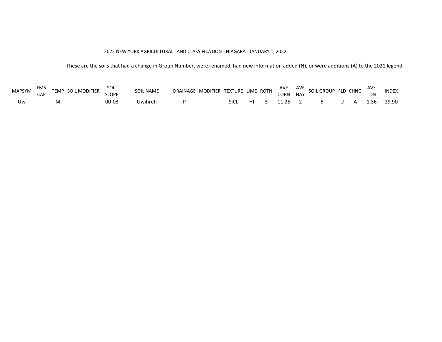#### 2022 NEW YORK AGRICULTURAL LAND CLASSIFICATION - NIAGARA - JANUARY 1, 2022

<span id="page-6-0"></span>

| MAPSYM | FM5 | TEMP SOIL MODIFIER | SOIL         | <b>SOIL NAME</b> |  |      |  |  | DRAINAGE MODIFIER TEXTURE LIME ROTN AVE AVE SOIL GROUP FLD CHNG |    |            |  |
|--------|-----|--------------------|--------------|------------------|--|------|--|--|-----------------------------------------------------------------|----|------------|--|
|        | CAP |                    | <b>SLOPE</b> |                  |  |      |  |  |                                                                 |    |            |  |
| Uw     |     |                    | $00 - 03$    | Uwihreh          |  | SiCL |  |  | HI 3 11.25 2 6                                                  | UA | 1.36 29.90 |  |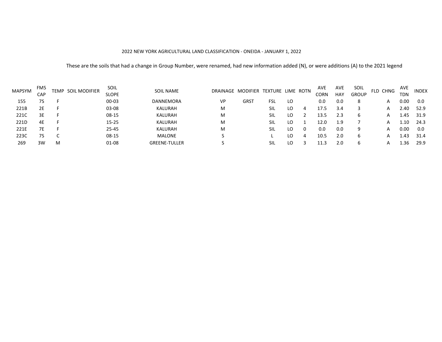#### 2022 NEW YORK AGRICULTURAL LAND CLASSIFICATION - ONEIDA - JANUARY 1, 2022

<span id="page-7-0"></span>

| <b>MAPSYM</b> | FM5 | TEMP | SOIL MODIFIER | SOIL         | <b>SOIL NAME</b>     |    | DRAINAGE MODIFIER TEXTURE LIME ROTN |     |    |   | <b>AVE</b> | AVE        | SOIL         | FLD CHNG | AVE        | <b>INDEX</b> |
|---------------|-----|------|---------------|--------------|----------------------|----|-------------------------------------|-----|----|---|------------|------------|--------------|----------|------------|--------------|
|               | CAP |      |               | <b>SLOPE</b> |                      |    |                                     |     |    |   | CORN       | <b>HAY</b> | <b>GROUP</b> |          | <b>TDN</b> |              |
| 155           | 7S  |      |               | $00 - 03$    | <b>DANNEMORA</b>     | VP | <b>GRST</b>                         | FSL | LO |   | 0.0        | 0.0        | 8            | A        | 0.00       | 0.0          |
| 221B          | 2E  |      |               | 03-08        | KALURAH              | м  |                                     | SIL | LO | 4 | 17.5       | 3.4        |              |          | 2.40       | 52.9         |
| 221C          | 3Е  |      |               | $08-15$      | KALURAH              | M  |                                     | SIL | LO |   | 13.5       | 2.3        | b            |          | 1.45       | 31.9         |
| 221D          | 4Ε  |      |               | $15 - 25$    | KALURAH              | M  |                                     | Sil | LO |   | 12.0       | 1.9        |              |          | 1.10       | 24.3         |
| 221E          | 7Е  |      |               | 25-45        | KALURAH              | M  |                                     | Sil | LO |   | 0.0        | 0.0        | 9            |          | 0.00       | 0.0          |
| 223C          | 7S  |      |               | $08-15$      | MALONE               |    |                                     |     | LO |   | 10.5       | 2.0        | b            |          | 4.43       | 31.4         |
| 269           | 3W  | M    |               | $01 - 08$    | <b>GREENE-TULLER</b> |    |                                     | SIL | LO |   |            | 2.0        | b            |          | -36        | 29.9         |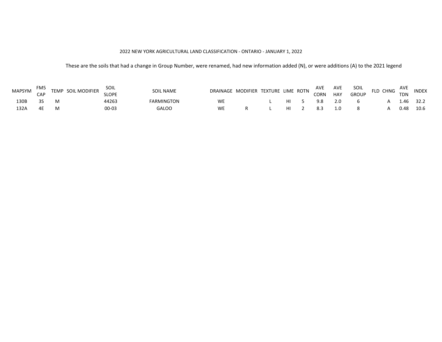#### 2022 NEW YORK AGRICULTURAL LAND CLASSIFICATION - ONTARIO - JANUARY 1, 2022

<span id="page-8-0"></span>

| <b>MAPSYM</b> | FM5<br>CAP | TEMP SOIL MODIFIER | SOIL<br><b>SLOPE</b> | SOIL NAME  |           | DRAINAGE MODIFIER TEXTURE LIME ROTN |    | AVE<br>CORN | AVE<br><b>HAY</b> | SOIL<br><b>GROUP</b> | FLD CHNG | AVE<br><b>TDN</b> | <b>INDEX</b> |
|---------------|------------|--------------------|----------------------|------------|-----------|-------------------------------------|----|-------------|-------------------|----------------------|----------|-------------------|--------------|
| 130B          |            |                    | 44263                | FARMINGTON | <b>WE</b> |                                     | нı |             | 2.0               |                      |          | 1.46              | 32.2         |
| 132A          |            |                    | 00-03                | GALOO      | <b>WE</b> |                                     | нι |             |                   |                      |          | 0.48              | 10.6         |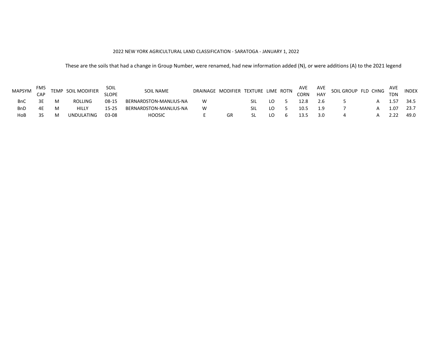#### 2022 NEW YORK AGRICULTURAL LAND CLASSIFICATION - SARATOGA - JANUARY 1, 2022

<span id="page-9-0"></span>

| <b>MAPSYM</b> | FM5<br>CAP |   | TEMP SOIL MODIFIER | SOIL<br><b>SLOPE</b> | <b>SOIL NAME</b>       | DRAINAGE MODIFIER TEXTURE LIME ROTN |    |     |  | AVE<br>CORN | AVE<br><b>HAY</b> | SOIL GROUP FLD CHNG | AVE<br><b>TDN</b> | <b>INDEX</b> |
|---------------|------------|---|--------------------|----------------------|------------------------|-------------------------------------|----|-----|--|-------------|-------------------|---------------------|-------------------|--------------|
|               |            |   | <b>ROLLING</b>     | 08-15                | BERNARDSTON-MANLIUS-NA |                                     |    | SIL |  |             |                   |                     |                   | 34.5         |
| BnD           |            | M | <b>HILLY</b>       |                      | BERNARDSTON-MANLIUS-NA |                                     |    | ۲IJ |  | 10.5        |                   |                     | 1.07              | 23.7         |
| HoB           |            | M | UNDULATING         | 03-08                | HOOSIC                 |                                     | GR |     |  |             |                   |                     |                   | 49.0         |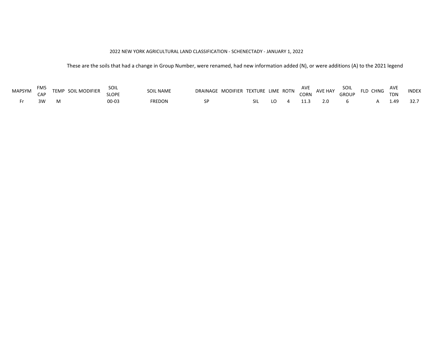#### 2022 NEW YORK AGRICULTURAL LAND CLASSIFICATION - SCHENECTADY - JANUARY 1, 2022

<span id="page-10-0"></span>

| <b>MAPSYM</b> | FM5 | TEMP SOIL MODIFIER | Soil  | <b>SOIL NAME</b> | DRAINAGE MODIFIER TEXTURE LIME ROTN |  |  | AVE<br>CORN | AVE HAY | SOIL         | FLD CHNG | AVE        | <b>INDEX</b> |
|---------------|-----|--------------------|-------|------------------|-------------------------------------|--|--|-------------|---------|--------------|----------|------------|--------------|
|               | CAP |                    | SLOPE |                  |                                     |  |  |             |         | <b>GROUP</b> |          | <b>TDN</b> |              |
|               |     |                    |       | FREDON           |                                     |  |  |             |         |              |          | 1 49       |              |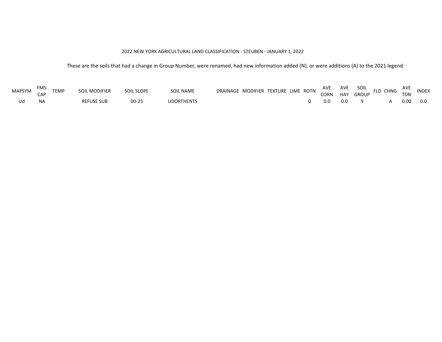#### 2022 NEW YORK AGRICULTURAL LAND CLASSIFICATION - STEUBEN - JANUARY 1, 2022

<span id="page-11-0"></span>

| MAPSYM | FM5 | <b>TEMP</b> | SOIL MODIFIER     | SOIL SLOPE | <b>SOIL NAME</b>  | DRAINAGE MODIFIER TEXTURE LIME ROTN |  |     |     | AVE AVE SOIL .<br>CORN HAY GROUP | SOIL FLD CHNG | AVE        | <b>INDEX</b> |
|--------|-----|-------------|-------------------|------------|-------------------|-------------------------------------|--|-----|-----|----------------------------------|---------------|------------|--------------|
|        |     |             |                   |            |                   |                                     |  |     |     |                                  |               | <b>TDN</b> |              |
| Ud     |     |             | <b>REFUSE SUB</b> | $00 - 25$  | <b>UDORTHENTS</b> |                                     |  | 0.0 | 0.0 |                                  |               | 0.00       | 0.0          |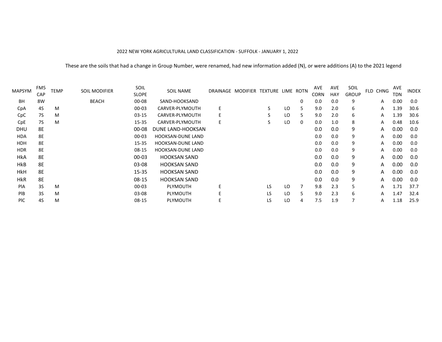#### 2022 NEW YORK AGRICULTURAL LAND CLASSIFICATION - SUFFOLK - JANUARY 1, 2022

<span id="page-12-0"></span>

| MAPSYM     | FM <sub>5</sub> | <b>TEMP</b> | <b>SOIL MODIFIER</b> | SOIL         | <b>SOIL NAME</b>         |    | DRAINAGE MODIFIER TEXTURE LIME ROTN |               |     |    | AVE         | AVE | SOIL         | FLD CHNG | <b>AVE</b> | <b>INDEX</b> |
|------------|-----------------|-------------|----------------------|--------------|--------------------------|----|-------------------------------------|---------------|-----|----|-------------|-----|--------------|----------|------------|--------------|
|            | CAP             |             |                      | <b>SLOPE</b> |                          |    |                                     |               |     |    | <b>CORN</b> | HAY | <b>GROUP</b> |          | TDN        |              |
| BH         | 8W              |             | <b>BEACH</b>         | $00 - 08$    | SAND-HOOKSAND            |    |                                     |               |     | 0  | 0.0         | 0.0 | 9            | A        | 0.00       | 0.0          |
| CpA        | 4S              | M           |                      | 00-03        | CARVER-PLYMOUTH          | E  |                                     | $\mathcal{P}$ | LO  |    | 9.0         | 2.0 | 6            | A        | 1.39       | 30.6         |
| CpC        | 7S              | M           |                      | 03-15        | CARVER-PLYMOUTH          | E  |                                     | S             | LO  | 5. | 9.0         | 2.0 | 6            | Α        | 1.39       | 30.6         |
| CpE        | 7S              | M           |                      | 15-35        | CARVER-PLYMOUTH          | E. |                                     | S             | LO  | 0  | 0.0         | 1.0 | 8            | A        | 0.48       | 10.6         |
| <b>DHU</b> | 8E              |             |                      | 00-08        | DUNE LAND-HOOKSAN        |    |                                     |               |     |    | 0.0         | 0.0 | 9            | A        | 0.00       | 0.0          |
| <b>HDA</b> | 8E              |             |                      | $00 - 03$    | <b>HOOKSAN-DUNE LAND</b> |    |                                     |               |     |    | 0.0         | 0.0 | 9            | A        | 0.00       | 0.0          |
| <b>HDH</b> | 8E              |             |                      | 15-35        | <b>HOOKSAN-DUNE LAND</b> |    |                                     |               |     |    | 0.0         | 0.0 | 9            | A        | 0.00       | 0.0          |
| <b>HDR</b> | 8E              |             |                      | 08-15        | <b>HOOKSAN-DUNE LAND</b> |    |                                     |               |     |    | 0.0         | 0.0 | 9            | A        | 0.00       | 0.0          |
| <b>HkA</b> | 8E              |             |                      | $00 - 03$    | <b>HOOKSAN SAND</b>      |    |                                     |               |     |    | 0.0         | 0.0 | 9            | A        | 0.00       | 0.0          |
| <b>HkB</b> | 8E              |             |                      | $03-08$      | <b>HOOKSAN SAND</b>      |    |                                     |               |     |    | 0.0         | 0.0 | 9            | A        | 0.00       | 0.0          |
| <b>HkH</b> | 8E              |             |                      | $15 - 35$    | <b>HOOKSAN SAND</b>      |    |                                     |               |     |    | 0.0         | 0.0 | 9            | A        | 0.00       | 0.0          |
| <b>HkR</b> | 8E              |             |                      | $08 - 15$    | <b>HOOKSAN SAND</b>      |    |                                     |               |     |    | 0.0         | 0.0 | 9            | A        | 0.00       | 0.0          |
| PIA        | 3S              | M           |                      | $00 - 03$    | <b>PLYMOUTH</b>          | E  |                                     | LS            | LO  |    | 9.8         | 2.3 | 5            | A        | 1.71       | 37.7         |
| PIB        | 3S              | M           |                      | 03-08        | <b>PLYMOUTH</b>          |    |                                     | <b>LS</b>     | LO. |    | 9.0         | 2.3 | 6            | A        | 1.47       | 32.4         |
| <b>PIC</b> | 4S              | М           |                      | 08-15        | <b>PLYMOUTH</b>          |    |                                     | LS            | LO  | 4  | 7.5         | 1.9 | 7            | A        | 1.18       | 25.9         |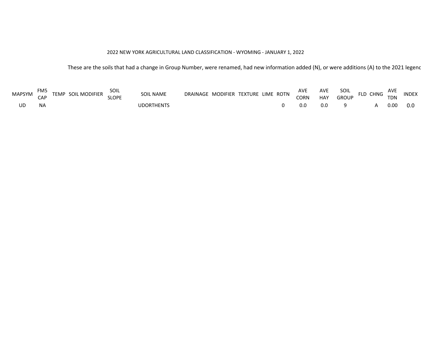# 2022 NEW YORK AGRICULTURAL LAND CLASSIFICATION - WYOMING - JANUARY 1, 2022

<span id="page-13-0"></span>

| <b>MAPSYM</b> | FM5 | <b>MODIFIER</b><br><b>TEMP</b><br>SOIL | SOIL<br>CI ODE | <b>SOIL NAME</b> | <b>DRAINAGF</b> | MODIFIER TEXTURE LIME ROTN | <b>AVE</b> | <b>AVE</b> | Soil       | $C_{\text{LMC}}$ | AVE | <b>INDEX</b> |  |
|---------------|-----|----------------------------------------|----------------|------------------|-----------------|----------------------------|------------|------------|------------|------------------|-----|--------------|--|
|               | .   |                                        |                |                  |                 |                            |            | $\cap$ CRN | <b>HAV</b> | GROUP            |     | TDN          |  |
| UD            | ΝA  |                                        |                | <b>IDORTHENT</b> |                 |                            |            |            |            |                  |     | 0.00         |  |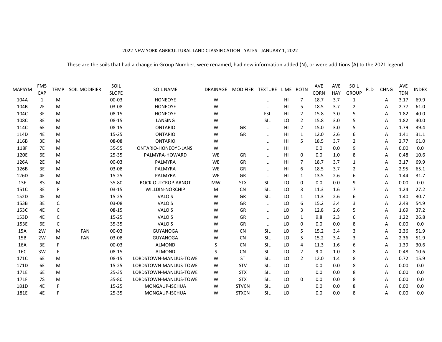#### 2022 NEW YORK AGRICULTURAL LAND CLASSIFICATION - YATES - JANUARY 1, 2022

<span id="page-14-0"></span>

| MAPSYM | FM5<br>CAP | <b>TEMP</b> | SOIL MODIFIER | SOIL<br><b>SLOPE</b> | <b>SOIL NAME</b>          |           | DRAINAGE MODIFIER TEXTURE |            |                | LIME ROTN      | <b>AVE</b><br><b>CORN</b> | <b>AVE</b><br>HAY | SOIL<br><b>GROUP</b> | <b>FLD</b> | <b>CHNG</b> | <b>AVE</b><br><b>TDN</b> | <b>INDEX</b> |
|--------|------------|-------------|---------------|----------------------|---------------------------|-----------|---------------------------|------------|----------------|----------------|---------------------------|-------------------|----------------------|------------|-------------|--------------------------|--------------|
| 104A   | 1          | M           |               | $00 - 03$            | <b>HONEOYE</b>            | W         |                           |            | HI             | 7              | 18.7                      | 3.7               | 1                    |            | Α           | 3.17                     | 69.9         |
| 104B   | 2E         | M           |               | 03-08                | <b>HONEOYE</b>            | W         |                           |            | H <sub>l</sub> | 5              | 18.5                      | 3.7               | $\overline{2}$       |            | A           | 2.77                     | 61.0         |
| 104C   | 3E         | M           |               | 08-15                | <b>HONEOYE</b>            | w         |                           | <b>FSL</b> | HI             | 2              | 15.8                      | 3.0               | 5                    |            | A           | 1.82                     | 40.0         |
| 108C   | 3E         | M           |               | 08-15                | LANSING                   | W         |                           | SIL        | LO             | 2              | 15.8                      | 3.0               | 5                    |            | A           | 1.82                     | 40.0         |
| 114C   | 6E         | M           |               | 08-15                | <b>ONTARIO</b>            | w         | GR                        |            | HI             | $\overline{2}$ | 15.0                      | 3.0               | 5                    |            | A           | 1.79                     | 39.4         |
| 114D   | 4E         | M           |               | 15-25                | <b>ONTARIO</b>            | W         | GR                        |            | H <sub>l</sub> | $\mathbf{1}$   | 12.0                      | 2.6               | 6                    |            | A           | 1.41                     | 31.1         |
| 116B   | 3E         | M           |               | 08-08                | <b>ONTARIO</b>            | W         |                           |            | H <sub>l</sub> | 5              | 18.5                      | 3.7               | $\overline{2}$       |            | A           | 2.77                     | 61.0         |
| 118F   | <b>7E</b>  | M           |               | $35 - 55$            | ONTARIO-HONEOYE-LANSI     | W         |                           |            | H <sub>l</sub> |                | 0.0                       | 0.0               | 9                    |            | A           | 0.00                     | 0.0          |
| 120E   | 6E         | M           |               | $25 - 35$            | PALMYRA-HOWARD            | <b>WE</b> | GR                        |            | H <sub>l</sub> | 0              | 0.0                       | 1.0               | 8                    |            | A           | 0.48                     | 10.6         |
| 126A   | <b>2E</b>  | M           |               | 00-03                | PALMYRA                   | <b>WE</b> | GR                        |            | HI             | 7              | 18.7                      | 3.7               | 1                    |            | A           | 3.17                     | 69.9         |
| 126B   | 3E         | M           |               | 03-08                | PALMYRA                   | <b>WE</b> | GR                        |            | HI             | 6              | 18.5                      | 3.7               | 2                    |            | A           | 2.95                     | 65.1         |
| 126D   | 4E         | M           |               | $15 - 25$            | PALMYRA                   | <b>WE</b> | GR                        |            | H <sub>l</sub> | $\mathbf{1}$   | 13.5                      | 2.6               | 6                    |            | A           | 1.44                     | 31.7         |
| 13F    | 8S         | M           |               | 35-80                | <b>ROCK OUTCROP-ARNOT</b> | <b>MW</b> | <b>STX</b>                | SIL        | LO             | 0              | 0.0                       | 0.0               | 9                    |            | A           | 0.00                     | 0.0          |
| 151C   | 3E         | F           |               | $03 - 15$            | <b>WILLDIN-NORCHIP</b>    | M         | <b>CN</b>                 | SIL        | LO             | 3              | 11.3                      | 1.6               | 7                    |            | A           | 1.24                     | 27.2         |
| 152D   | 4E         | M           |               | $15 - 25$            | <b>VALOIS</b>             | W         | GR                        | SIL        | LO             | $\mathbf{1}$   | 11.3                      | 2.6               | 6                    |            | A           | 1.40                     | 30.7         |
| 153B   | 3E         | C           |               | 03-08                | <b>VALOIS</b>             | W         | GR                        |            | LO             | 6              | 15.2                      | 3.4               | 3                    |            | A           | 2.49                     | 54.9         |
| 153C   | 4E         | C           |               | 08-15                | VALOIS                    | W         | GR                        |            | LO             | 3              | 12.8                      | 2.6               | 5                    |            | Α           | 1.69                     | 37.2         |
| 153D   | 4E         | $\mathsf C$ |               | $15 - 25$            | VALOIS                    | w         | GR                        |            | LO             | 1              | 9.8                       | 2.3               | 6                    |            | A           | 1.22                     | 26.8         |
| 153E   | 6E         | C           |               | 35-35                | <b>VALOIS</b>             | w         | GR                        |            | LO             | 0              | 0.0                       | 0.0               | 8                    |            | A           | 0.00                     | 0.0          |
| 15A    | 2W         | M           | <b>FAN</b>    | 00-03                | GUYANOGA                  | W         | <b>CN</b>                 | SIL        | LO             | 5              | 15.2                      | 3.4               | 3                    |            | A           | 2.36                     | 51.9         |
| 15B    | 2W         | M           | <b>FAN</b>    | 03-08                | <b>GUYANOGA</b>           | w         | <b>CN</b>                 | SIL        | LO             | 5              | 15.2                      | 3.4               | 3                    |            | A           | 2.36                     | 51.9         |
| 16A    | 3E         | F           |               | $00 - 03$            | <b>ALMOND</b>             | S         | <b>CN</b>                 | SIL        | LO             | 4              | 11.3                      | 1.6               | 6                    |            | A           | 1.39                     | 30.6         |
| 16C    | 3W         | F           |               | 08-15                | <b>ALMOND</b>             | S         | <b>CN</b>                 | SIL        | LO             | $\overline{2}$ | 9.0                       | 1.0               | 8                    |            | A           | 0.48                     | 10.6         |
| 171C   | 6E         | M           |               | 08-15                | LORDSTOWN-MANLIUS-TOWE    | w         | <b>ST</b>                 | SIL        | LO             | $\overline{2}$ | 12.0                      | 1.4               | 8                    |            | A           | 0.72                     | 15.9         |
| 171D   | 6E         | M           |               | $15 - 25$            | LORDSTOWN-MANLIUS-TOWE    | W         | <b>STV</b>                | SIL        | LO             |                | 0.0                       | 0.0               | 8                    |            | A           | 0.00                     | 0.0          |
| 171E   | 6E         | M           |               | $25 - 35$            | LORDSTOWN-MANLIUS-TOWE    | W         | <b>STX</b>                | SIL        | LO             |                | 0.0                       | 0.0               | 8                    |            | A           | 0.00                     | 0.0          |
| 171F   | <b>7S</b>  | M           |               | 35-80                | LORDSTOWN-MANLIUS-TOWE    | W         | <b>STX</b>                | SIL        | LO             | 0              | 0.0                       | 0.0               | 8                    |            | A           | 0.00                     | 0.0          |
| 181D   | 4E         | F           |               | $15 - 25$            | MONGAUP-ISCHUA            | w         | <b>STVCN</b>              | SIL        | LO             |                | 0.0                       | 0.0               | 8                    |            | Α           | 0.00                     | 0.0          |
| 181E   | 4E         | F           |               | 25-35                | MONGAUP-ISCHUA            | w         | <b>STXCN</b>              | SIL        | LO             |                | 0.0                       | 0.0               | 8                    |            | A           | 0.00                     | 0.0          |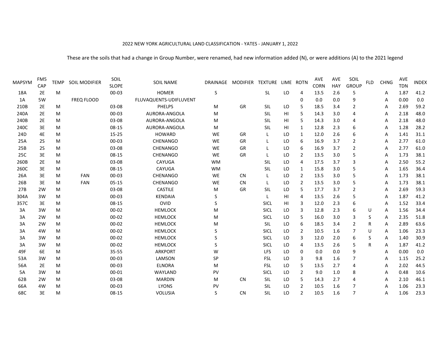#### 2022 NEW YORK AGRICULTURAL LAND CLASSIFICATION - YATES - JANUARY 1, 2022

| FM <sub>5</sub><br>CAP | <b>TEMP</b> | SOIL MODIFIER | SOIL<br><b>SLOPE</b> | <b>SOIL NAME</b>       | DRAINAGE     |           |             |                  |                | <b>AVE</b><br><b>CORN</b> | <b>AVE</b><br>HAY | SOIL<br><b>GROUP</b> | <b>FLD</b> | <b>CHNG</b> | AVE<br><b>TDN</b> | <b>INDEX</b> |
|------------------------|-------------|---------------|----------------------|------------------------|--------------|-----------|-------------|------------------|----------------|---------------------------|-------------------|----------------------|------------|-------------|-------------------|--------------|
| <b>2E</b>              | M           |               | $00 - 03$            | <b>HOMER</b>           | <sub>S</sub> |           | <b>SL</b>   | LO               | 4              | 13.5                      | 2.6               | 5                    |            | Α           | 1.87              | 41.2         |
| 5W                     |             | FREQ FLOOD    |                      | FLUVAQUENTS-UDIFLUVENT |              |           |             |                  | 0              | 0.0                       | 0.0               | 9                    |            | Α           | 0.00              | 0.0          |
| 2E                     | М           |               | 03-08                | <b>PHELPS</b>          | M            | GR        | SIL         | LO               | 5              | 18.5                      | 3.4               | $\overline{2}$       |            | A           | 2.69              | 59.2         |
| 2E                     | M           |               | $00 - 03$            | AURORA-ANGOLA          | M            |           | SIL         | HI               | -5             | 14.3                      | 3.0               | $\overline{4}$       |            | А           | 2.18              | 48.0         |
| 2E                     | M           |               | 03-08                | AURORA-ANGOLA          | M            |           | SIL         | HI               | 5              | 14.3                      | 3.0               | $\overline{4}$       |            | Α           | 2.18              | 48.0         |
| 3E                     | M           |               | 08-15                | AURORA-ANGOLA          | M            |           | SIL         | HI               | 1              | 12.8                      | 2.3               | 6                    |            | Α           | 1.28              | 28.2         |
| 4E                     | M           |               | $15 - 25$            | <b>HOWARD</b>          | WE           | GR        |             | LO               | 1              | 12.0                      | 2.6               | 6                    |            | А           | 1.41              | 31.1         |
| <b>2S</b>              | M           |               | $00 - 03$            | CHENANGO               | <b>WE</b>    | GR        |             | LO               | 6              | 16.9                      | 3.7               | 2                    |            | А           | 2.77              | 61.0         |
| <b>2S</b>              | M           |               | 03-08                | CHENANGO               | WE           | GR        |             | LO               | 6              | 16.9                      | 3.7               | $\overline{2}$       |            | Α           | 2.77              | 61.0         |
| 3E                     | М           |               | 08-15                | CHENANGO               | WE           | GR        |             | LO               | $\overline{2}$ | 13.5                      | 3.0               | 5                    |            | А           | 1.73              | 38.1         |
| 2E                     | M           |               | 03-08                | CAYUGA                 | <b>WM</b>    |           | SIL         | LO               | 4              | 17.5                      | 3.7               | 3                    |            | А           | 2.50              | 55.2         |
| 3E                     | M           |               | 08-15                | CAYUGA                 | <b>WM</b>    |           | SIL         | LO               | 1              | 15.8                      | 3.0               | 5                    |            | А           | 1.65              | 36.4         |
| 3E                     | M           | <b>FAN</b>    | $00 - 03$            | <b>CHENANGO</b>        | <b>WE</b>    | <b>CN</b> | L           | LO               | $\overline{2}$ | 13.5                      | 3.0               | 5                    |            | А           | 1.73              | 38.1         |
| 3E                     | M           | FAN           | $05-15$              | CHENANGO               | WE           | <b>CN</b> | L           | LO               | $\overline{2}$ | 13.5                      | 3.0               | 5                    |            | А           | 1.73              | 38.1         |
| 2W                     | М           |               | 03-08                | CASTILE                | M            | GR        | SIL         | LO               | 5              | 17.7                      | 3.7               | $\overline{2}$       |            | А           | 2.69              | 59.3         |
| 3W                     | М           |               | $00 - 03$            | <b>KENDAIA</b>         | S            |           | L           | HI               | 4              | 13.5                      | 2.6               | 5                    |            | Α           | 1.87              | 41.2         |
| 3E                     | M           |               | 08-15                | OVID                   | S            |           | SICL        | HI               | 3              | 12.0                      | 2.3               | 6                    |            | А           | 1.52              | 33.4         |
| 3W                     | М           |               | $00 - 02$            | <b>HEMLOCK</b>         | M            |           | SICL        | LO               | 3              | 12.8                      | 2.3               | 6                    | U          | Α           | 1.56              | 34.4         |
| 2W                     | M           |               | $00 - 02$            | <b>HEMLOCK</b>         | M            |           | SICL        | LO               | 5              | 16.0                      | 3.0               | 3                    | S          | А           | 2.35              | 51.8         |
| 2W                     | M           |               | $00 - 02$            | <b>HEMLOCK</b>         | M            |           | SIL         | LO               | 6              | 18.5                      | 3.4               | 2                    | R          | Α           | 2.89              | 63.6         |
| 4W                     | M           |               | $00 - 02$            | <b>HEMLOCK</b>         | S            |           | SICL        | LO               | $\overline{2}$ | 10.5                      | 1.6               | 7                    | U          | Α           | 1.06              | 23.3         |
| 3W                     | М           |               | $00 - 02$            | <b>HEMLOCK</b>         | S            |           | SICL        | LO               | 3              | 12.0                      | 2.0               | 6                    | S          | А           | 1.40              | 30.9         |
| 3W                     | M           |               | $00 - 02$            | <b>HEMLOCK</b>         | S            |           | <b>SICL</b> | LO               | 4              | 13.5                      | 2.6               | 5                    | R          | А           | 1.87              | 41.2         |
| 6E                     | M           |               | 35-55                | <b>ARKPORT</b>         | W            |           | <b>LFS</b>  | LO               | 0              | 0.0                       | 0.0               | 9                    |            | А           | 0.00              | $0.0\,$      |
| 3W                     | M           |               | $00 - 03$            | LAMSON                 | SP           |           | <b>FSL</b>  | LO               | 3              | 9.8                       | 1.6               | 7                    |            | А           | 1.15              | 25.2         |
| <b>2E</b>              | M           |               | $00 - 03$            | <b>ELNORA</b>          | M            |           | <b>FSL</b>  | LO               | 5              | 13.5                      | 2.7               | 4                    |            | А           | 2.02              | 44.5         |
| 3W                     | M           |               | 00-01                | WAYLAND                | PV           |           | SICL        | LO               | 2              | 9.0                       | 1.0               | 8                    |            | A           | 0.48              | 10.6         |
| 2W                     | M           |               | 03-08                | <b>MARDIN</b>          | M            | <b>CN</b> | SIL         | LO               | 5              | 14.3                      | 2.7               | 4                    |            | A           | 2.10              | 46.1         |
| 4W                     | M           |               | $00 - 03$            | <b>LYONS</b>           | PV           |           | <b>SIL</b>  | LO               | $\overline{2}$ | 10.5                      | 1.6               | $\overline{7}$       |            | А           | 1.06              | 23.3         |
| 3E                     | M           |               | 08-15                | <b>VOLUSIA</b>         | S            | <b>CN</b> | SIL         | LO               | 2              | 10.5                      | 1.6               | 7                    |            | А           | 1.06              | 23.3         |
|                        |             |               |                      |                        |              |           |             | MODIFIER TEXTURE |                | LIME ROTN                 |                   |                      |            |             |                   |              |